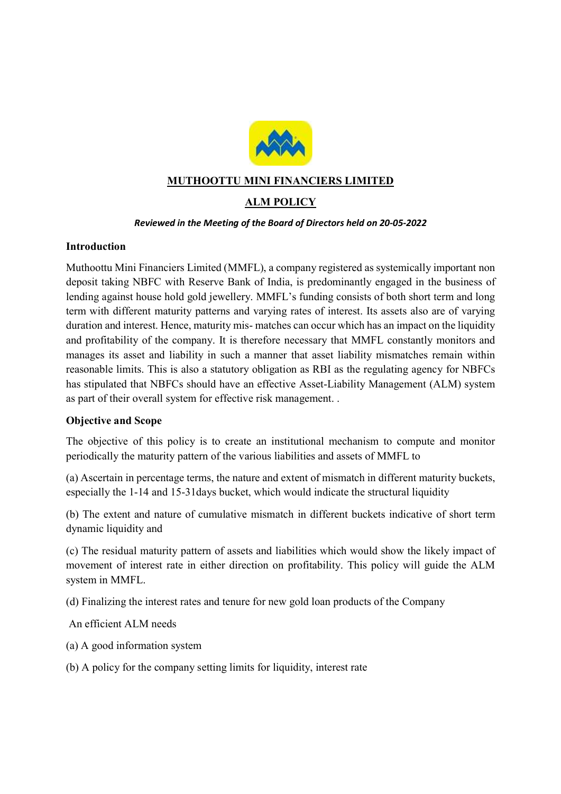

# MUTHOOTTU MINI FINANCIERS LIMITED

# ALM POLICY

#### Reviewed in the Meeting of the Board of Directors held on 20-05-2022

#### Introduction

Muthoottu Mini Financiers Limited (MMFL), a company registered as systemically important non deposit taking NBFC with Reserve Bank of India, is predominantly engaged in the business of lending against house hold gold jewellery. MMFL's funding consists of both short term and long term with different maturity patterns and varying rates of interest. Its assets also are of varying duration and interest. Hence, maturity mis- matches can occur which has an impact on the liquidity and profitability of the company. It is therefore necessary that MMFL constantly monitors and manages its asset and liability in such a manner that asset liability mismatches remain within reasonable limits. This is also a statutory obligation as RBI as the regulating agency for NBFCs has stipulated that NBFCs should have an effective Asset-Liability Management (ALM) system as part of their overall system for effective risk management. .

## Objective and Scope

The objective of this policy is to create an institutional mechanism to compute and monitor periodically the maturity pattern of the various liabilities and assets of MMFL to

(a) Ascertain in percentage terms, the nature and extent of mismatch in different maturity buckets, especially the 1-14 and 15-31days bucket, which would indicate the structural liquidity

(b) The extent and nature of cumulative mismatch in different buckets indicative of short term dynamic liquidity and

(c) The residual maturity pattern of assets and liabilities which would show the likely impact of movement of interest rate in either direction on profitability. This policy will guide the ALM system in MMFL.

(d) Finalizing the interest rates and tenure for new gold loan products of the Company

An efficient ALM needs

- (a) A good information system
- (b) A policy for the company setting limits for liquidity, interest rate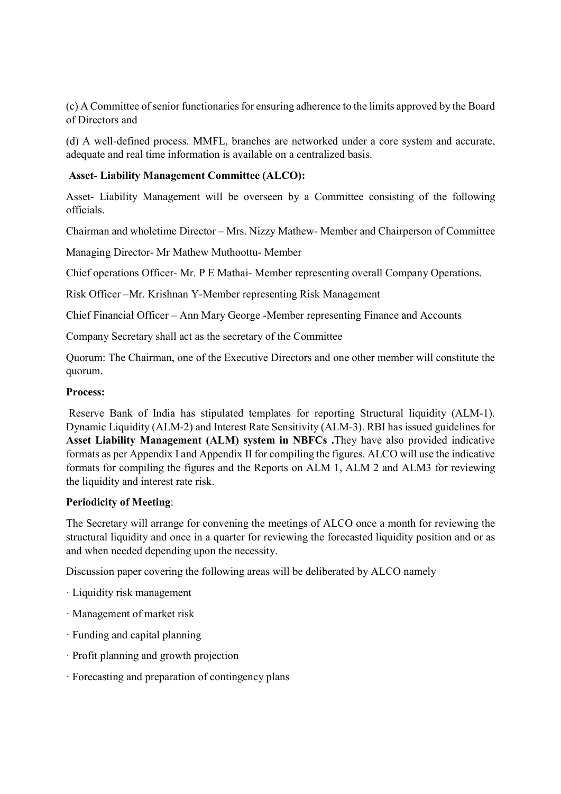(c) A Committee of senior functionaries for ensuring adherence to the limits approved by the Board of Directors and

(d) A well-defined process. MMFL, branches are networked under a core system and accurate, adequate and real time information is available on a centralized basis.

# Asset- Liability Management Committee (ALCO):

Asset- Liability Management will be overseen by a Committee consisting of the following officials.

Chairman and wholetime Director – Mrs. Nizzy Mathew- Member and Chairperson of Committee

Managing Director- Mr Mathew Muthoottu- Member

Chief operations Officer- Mr. P E Mathai- Member representing overall Company Operations.

Risk Officer –Mr. Krishnan Y-Member representing Risk Management

Chief Financial Officer – Ann Mary George -Member representing Finance and Accounts

Company Secretary shall act as the secretary of the Committee

Quorum: The Chairman, one of the Executive Directors and one other member will constitute the quorum.

#### Process:

 Reserve Bank of India has stipulated templates for reporting Structural liquidity (ALM-1). Dynamic Liquidity (ALM-2) and Interest Rate Sensitivity (ALM-3). RBI has issued guidelines for Asset Liability Management (ALM) system in NBFCs .They have also provided indicative formats as per Appendix I and Appendix II for compiling the figures. ALCO will use the indicative formats for compiling the figures and the Reports on ALM 1, ALM 2 and ALM3 for reviewing the liquidity and interest rate risk.

## Periodicity of Meeting:

The Secretary will arrange for convening the meetings of ALCO once a month for reviewing the structural liquidity and once in a quarter for reviewing the forecasted liquidity position and or as and when needed depending upon the necessity.

Discussion paper covering the following areas will be deliberated by ALCO namely

- · Liquidity risk management
- · Management of market risk
- · Funding and capital planning
- · Profit planning and growth projection
- · Forecasting and preparation of contingency plans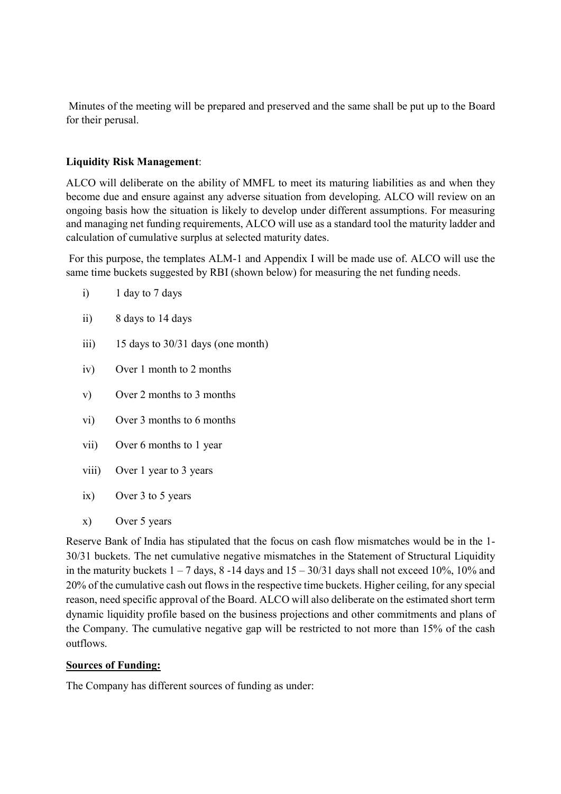Minutes of the meeting will be prepared and preserved and the same shall be put up to the Board for their perusal.

# Liquidity Risk Management:

ALCO will deliberate on the ability of MMFL to meet its maturing liabilities as and when they become due and ensure against any adverse situation from developing. ALCO will review on an ongoing basis how the situation is likely to develop under different assumptions. For measuring and managing net funding requirements, ALCO will use as a standard tool the maturity ladder and calculation of cumulative surplus at selected maturity dates.

 For this purpose, the templates ALM-1 and Appendix I will be made use of. ALCO will use the same time buckets suggested by RBI (shown below) for measuring the net funding needs.

- i) 1 day to 7 days
- ii) 8 days to 14 days
- iii) 15 days to 30/31 days (one month)
- iv) Over 1 month to 2 months
- v) Over 2 months to 3 months
- vi) Over 3 months to 6 months
- vii) Over 6 months to 1 year
- viii) Over 1 year to 3 years
- ix) Over 3 to 5 years
- x) Over 5 years

Reserve Bank of India has stipulated that the focus on cash flow mismatches would be in the 1- 30/31 buckets. The net cumulative negative mismatches in the Statement of Structural Liquidity in the maturity buckets  $1 - 7$  days,  $8 - 14$  days and  $15 - 30/31$  days shall not exceed 10%, 10% and 20% of the cumulative cash out flows in the respective time buckets. Higher ceiling, for any special reason, need specific approval of the Board. ALCO will also deliberate on the estimated short term dynamic liquidity profile based on the business projections and other commitments and plans of the Company. The cumulative negative gap will be restricted to not more than 15% of the cash outflows.

## Sources of Funding:

The Company has different sources of funding as under: